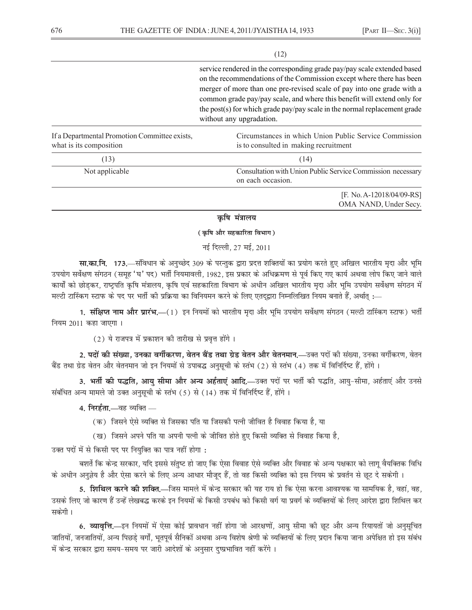$(12)$ 

service rendered in the corresponding grade pay/pay scale extended based on the recommendations of the Commission except where there has been merger of more than one pre-revised scale of pay into one grade with a common grade pay/pay scale, and where this benefit will extend only for the post(s) for which grade pay/pay scale in the normal replacement grade without any upgradation.

| If a Departmental Promotion Committee exists,<br>what is its composition | Circumstances in which Union Public Service Commission<br>is to consulted in making recruitment |  |
|--------------------------------------------------------------------------|-------------------------------------------------------------------------------------------------|--|
| [13]                                                                     | (14)                                                                                            |  |
| Not applicable                                                           | Consultation with Union Public Service Commission necessary<br>on each occasion.                |  |
|                                                                          | [F. No. A-12018/04/09-RS]<br>OMA NAND, Under Secy.                                              |  |

### कृषि मंत्रालय

( कृषि और सहकारिता विभाग )

नई दिल्ली, 27 मई, 2011

**सा.का.नि. 173.**—संविधान के अनुच्छेद 309 के परन्तुक द्वारा प्रदत्त शक्तियों का प्रयोग करते हुए अखिल भारतीय मृदा और भूमि उपयोग सर्वेक्षण संगठन (समूह 'घ' पद) भर्ती नियमावली, 1982, इस प्रकार के अधिक्रमण से पूर्व किए गए कार्य अथवा लोप किए जाने वाले कार्यों को छोडकर, राष्ट्रपति कृषि मंत्रालय, कृषि एवं सहकारिता विभाग के अधीन अखिल भारतीय मृदा और भूमि उपयोग सर्वेक्षण संगठन में मल्टी टास्किंग स्टाफ के पद पर भर्ती की प्रक्रिया का विनियमन करने के लिए एतदुद्वारा निम्नलिखित नियम बनाते हैं, अर्थात् :—

1. संक्षिप्त नाम और प्रारंभ,—(1) इन नियमों को भारतीय मृदा और भूमि उपयोग सर्वेक्षण संगठन (मल्टी टास्किंग स्टाफ) भर्ती नियम 2011 कहा जाएगा।

(2) ये राजपत्र में प्रकाशन की तारीख से प्रवृत्त होंगे।

2. पदों की संख्या, उनका वर्गीकरण, वेतन बैंड तथा ग्रेड वेतन और वेतनमान.—उक्त पदों की संख्या, उनका वर्गीकरण, वेतन बैंड तथा ग्रेड वेतन और वेतनमान जो इन नियमों से उपाबद्ध अनुसूची के स्तंभ (2) से स्तंभ (4) तक में विनिर्दिष्ट हैं, होंगे।

3. भर्ती की पद्धति, आयु सीमा और अन्य अर्हताएं आदि,-डक्त पदों पर भर्ती की पद्धति, आयु-सीमा, अर्हताएं और उनसे संबंधित अन्य मामले जो उक्त अनुसूची के स्तंभ (5) से (14) तक में विनिर्दिष्ट हैं, होंगे।

4. निरर्हता.—वह व्यक्ति —

- (क) जिसने ऐसे व्यक्ति से जिसका पति या जिसकी पत्नी जीवित है विवाह किया है. या
- (ख) जिसने अपने पति या अपनी पत्नी के जीवित होते हुए किसी व्यक्ति से विवाह किया है,

उक्त पदों में से किसी पद पर नियुक्ति का पात्र नहीं होगा:

बशर्ते कि केन्द्र सरकार, यदि इससे संतुष्ट हो जाए कि ऐसा विवाह ऐसे व्यक्ति और विवाह के अन्य पक्षकार को लागू वैयक्तिक विधि के अधीन अनुज्ञेय है और ऐसा करने के लिए अन्य आधार मौजूद हैं, तो वह किसी व्यक्ति को इस नियम के प्रवर्तन से छूट दे सकेगी।

5. **शिथिल करने की शक्ति**.—जिस मामले में केन्द्र सरकार की यह राय हो कि ऐसा करना आवश्यक या सामयिक है. वहां. वह. उसके लिए जो कारण हैं उन्हें लेखबद्ध करके इन नियमों के किसी उपबंध को किसी वर्ग या प्रवर्ग के व्यक्तियों के लिए आदेश द्वारा शिथिल कर सकेगी।

6. व्यावृत्ति,—इन नियमों में ऐसा कोई प्रावधान नहीं होगा जो आरक्षणों, आयु सीमा की छूट और अन्य रियायतों जो अनुसूचित जातियों, जनजातियों, अन्य पिछड़े वर्गों, भूतपूर्व सैनिकों अथवा अन्य विशेष श्रेणी के व्यक्तियों के लिए प्रदान किया जाना अपेक्षित हो इस संबंध में केन्द्र सरकार द्वारा समय-समय पर जारी आदेशों के अनुसार दुष्प्रभावित नहीं करेंगे।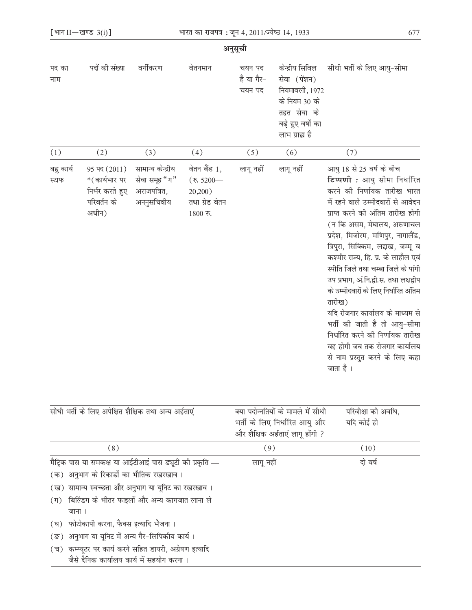|                    |                                                                                      |                                                                 |                                                                       | अनुसूची                        |                                                                                                                           |                                                                                                                                                                                                                                                                                                                                                                                                                                                                                                                                                                                                                                              |
|--------------------|--------------------------------------------------------------------------------------|-----------------------------------------------------------------|-----------------------------------------------------------------------|--------------------------------|---------------------------------------------------------------------------------------------------------------------------|----------------------------------------------------------------------------------------------------------------------------------------------------------------------------------------------------------------------------------------------------------------------------------------------------------------------------------------------------------------------------------------------------------------------------------------------------------------------------------------------------------------------------------------------------------------------------------------------------------------------------------------------|
| पद का<br>नाम       | पदों की संख्या                                                                       | वर्गीकरण                                                        | वेतनमान                                                               | चयन पद<br>है या गैर-<br>चयन पद | केन्द्रीय सिविल<br>सेवा (पेंशन)<br>नियमावली, 1972<br>के नियम 30 के<br>तहत सेवा के<br>बढ़े हुए वर्षों का<br>लाभ ग्राह्य है | सीधी भर्ती के लिए आयु-सीमा                                                                                                                                                                                                                                                                                                                                                                                                                                                                                                                                                                                                                   |
| (1)                | (2)                                                                                  | (3)                                                             | (4)                                                                   | (5)                            | (6)                                                                                                                       | (7)                                                                                                                                                                                                                                                                                                                                                                                                                                                                                                                                                                                                                                          |
| बहु कार्य<br>स्टाफ | $95 \,\mathrm{g}$ (2011)<br>*(कार्यभार पर<br>निर्भर करते हुए<br>परिवर्तन के<br>अधीन) | सामान्य केन्द्रीय<br>सेवा समूह "ग"<br>अराजपत्रित,<br>अननुसचिवीय | वेतन बैंड 1,<br>(रु. 5200—<br>20,200)<br>तथा ग्रेड वेतन<br>$1800$ रु. | लागू नहीं                      | लागू नहीं                                                                                                                 | आयु 18 से 25 वर्ष के बीच<br>टिप्पणी : आयु सीमा निर्धारित<br>करने की निर्णायक तारीख भारत<br>में रहने वाले उम्मीदवारों से आवेदन<br>प्राप्त करने की अंतिम तारीख होगी<br>(न कि असम, मेघालय, अरुणाचल<br>प्रदेश, मिजोरम, मणिपुर, नागालैंड<br>त्रिपुरा, सिक्किम, लद्दाख, जम्मू व<br>कश्मीर राज्य, हि. प्र. के लाहौल एव<br>स्पीति जिले तथा चम्बा जिले के पांगी<br>उप प्रभाग, अं.नि.द्वी.स. तथा लक्षद्वीप<br>के उम्मीदवारों के लिए निर्धारित अंतिम<br>तारीख)<br>यदि रोजगार कार्यालय के माध्यम से<br>भर्ती की जाती है तो आयु-सीमा<br>निर्धारित करने की निर्णायक तारीख<br>वह होगी जब तक रोजगार कार्यालय<br>से नाम प्रस्तुत करने के लिए कहा<br>जाता है । |

| सीधी भर्ती के लिए अपेक्षित शैक्षिक तथा अन्य अर्हताएं                                                                | क्या पदोन्नतियों के मामले में सीधी<br>भर्ती के लिए निर्धारित आयु और<br>और शैक्षिक अर्हताएं लागू होंगी ? | परिवीक्षा की अवधि,<br>यदि कोई हो |
|---------------------------------------------------------------------------------------------------------------------|---------------------------------------------------------------------------------------------------------|----------------------------------|
| (8)                                                                                                                 | (9)                                                                                                     | (10)                             |
| मैट्रिक पास या समकक्ष या आईटीआई पास ड्यूटी की प्रकृति —<br>(क) अनुभाग के रिकार्डों का भौतिक रखरखाव।                 | लागू नहीं                                                                                               | दो वर्ष                          |
| (ख) सामान्य स्वच्छता और अनुभाग या यूनिट का रखरखाव ।<br>(ग) बिल्डिंग के भीतर फाइलों और अन्य कागजात लाना ले<br>जाना । |                                                                                                         |                                  |
| (घ)  फोटोकापी करना, फैक्स इत्यादि भेजना।<br>(ङ) अनुभाग या यूनिट में अन्य गैर-लिपिकीय कार्य।                         |                                                                                                         |                                  |
| (च) कम्प्यूटर पर कार्य करने सहित डायरी, अग्रेषण इत्यादि<br>जैसे दैनिक कार्यालय कार्य में सहयोग करना।                |                                                                                                         |                                  |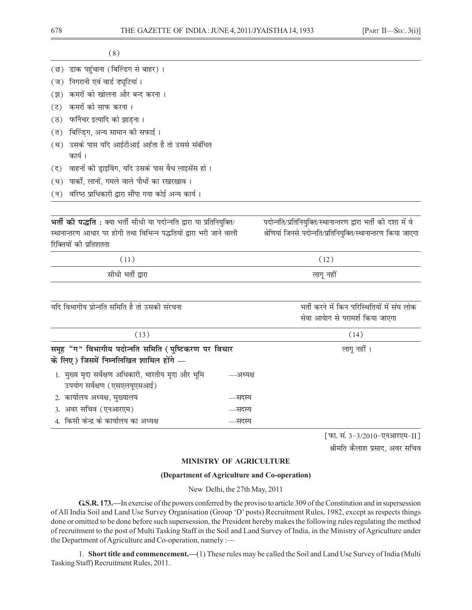- (छ) डाक पहुंचाना (बिल्डिंग से बाहर)।
- (ज) निगरानी एवं वार्ड ड्यूटियां ।
- (झ) कमरों को खोलना और बन्द करना।
- (ट) कमरों को साफ करना।
- (ठ) फर्निचर इत्यादि को झाडना।
- (त) बिल्डिंग, अन्य सामान की सफाई।
- (थ) उसके पास यदि आईटीआई अर्हता है तो उससे संबंधित कार्य।
- (द) वाहनों की ड्राइविंग, यदि उसके पास वैध लाइसेंस हो।
- (ध) पार्कों, लानों, गमले वाले पौधों का रखरखाव।
- (न) वरिष्ठ प्राधिकारी द्वारा सौंपा गया कोई अन्य कार्य।

**भर्ती की पद्धति** : क्या भर्ती सीधी या पदोन्नति द्वारा या प्रतिनियुक्ति/ स्थानान्तरण आधार पर होगी तथा विभिन्न पद्धतियों द्वारा भरी जाने वाली रिक्तियों की प्रतिशतता

पदोन्नति/प्रतिनियक्ति/स्थानान्तरण द्वारा भर्ती की दशा में वे श्रेणियां जिनसे पदोन्नति/प्रतिनियुक्ति/स्थानान्तरण किया जाएगा

| $\pm$             | 12)       |
|-------------------|-----------|
| सीधी भर्ती द्वारा | लागू नहीं |

यदि विभागीय प्रोन्नति समिति है तो उसकी संरचना

भर्ती करने में किन परिस्थितियों में संघ लोक सेवा आयेाग से परामर्श किया जाएगा

| (13)                                                                                           |          | (14)        |
|------------------------------------------------------------------------------------------------|----------|-------------|
| समूह "ग" विभागीय पदोन्नति समिति (पुष्टिकरण पर विचार<br>के लिए) जिसमें निम्नलिखित शामिल होंगे — |          | लागू नहीं । |
| 1.  मुख्य मृदा सर्वेक्षण अधिकारी, भारतीय मृदा और भूमि<br>उपयोग सर्वेक्षण (एसएलयूएसआई)          | —अध्यक्ष |             |
| 2. कार्यालय अध्यक्ष, मुख्यालय                                                                  | —सदस्य   |             |
| 3. अवर सचिव (एनआरएम)                                                                           | —सदस्य   |             |
| 4. किसी केन्द्र के कार्यालय का अध्यक्ष                                                         | —सदस्य   |             |

[फा. सं. 3-3/2010-एनआरएम-II]

श्रीमति कैलाश प्रसाद, अवर सचिव

# MINISTRY OF AGRICULTURE

#### (Department of Agriculture and Co-operation)

New Delhi, the 27th May, 2011

G.S.R. 173.—In exercise of the powers conferred by the proviso to article 309 of the Constitution and in supersession of All India Soil and Land Use Survey Organisation (Group 'D' posts) Recruitment Rules, 1982, except as respects things done or omitted to be done before such supersession, the President hereby makes the following rules regulating the method of recruitment to the post of Multi Tasking Staff in the Soil and Land Survey of India, in the Ministry of Agriculture under the Department of Agriculture and Co-operation, namely :-

1. Short title and commencement.—(1) These rules may be called the Soil and Land Use Survey of India (Multi Tasking Staff) Recruitment Rules, 2011.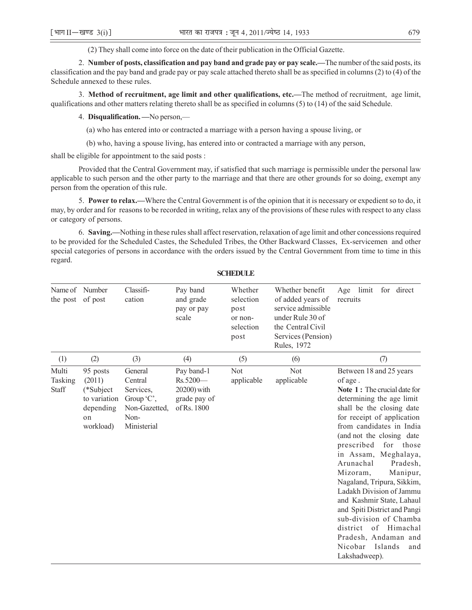(2) They shall come into force on the date of their publication in the Official Gazette.

2. **Number of posts, classification and pay band and grade pay or pay scale.—**The number of the said posts, its classification and the pay band and grade pay or pay scale attached thereto shall be as specified in columns (2) to (4) of the Schedule annexed to these rules.

3. **Method of recruitment, age limit and other qualifications, etc.—**The method of recruitment, age limit, qualifications and other matters relating thereto shall be as specified in columns (5) to (14) of the said Schedule.

4. **Disqualification. —**No person,—

(a) who has entered into or contracted a marriage with a person having a spouse living, or

(b) who, having a spouse living, has entered into or contracted a marriage with any person,

shall be eligible for appointment to the said posts :

Provided that the Central Government may, if satisfied that such marriage is permissible under the personal law applicable to such person and the other party to the marriage and that there are other grounds for so doing, exempt any person from the operation of this rule.

5. **Power to relax.—**Where the Central Government is of the opinion that it is necessary or expedient so to do, it may, by order and for reasons to be recorded in writing, relax any of the provisions of these rules with respect to any class or category of persons.

6. **Saving.—**Nothing in these rules shall affect reservation, relaxation of age limit and other concessions required to be provided for the Scheduled Castes, the Scheduled Tribes, the Other Backward Classes, Ex-servicemen and other special categories of persons in accordance with the orders issued by the Central Government from time to time in this regard.

| Name of Number<br>the post of post |                                                                                 | Classifi-<br>cation                                                                    | Pay band<br>and grade<br>pay or pay<br>scale                           | Whether<br>selection<br>post<br>or non-<br>selection<br>post | Whether benefit<br>of added years of<br>service admissible<br>under Rule 30 of<br>the Central Civil<br>Services (Pension)<br>Rules, 1972 | limit<br>for direct<br>Age<br>recruits                                                                                                                                                                                                                                                                                                                                                                                                                                                                                                                                       |
|------------------------------------|---------------------------------------------------------------------------------|----------------------------------------------------------------------------------------|------------------------------------------------------------------------|--------------------------------------------------------------|------------------------------------------------------------------------------------------------------------------------------------------|------------------------------------------------------------------------------------------------------------------------------------------------------------------------------------------------------------------------------------------------------------------------------------------------------------------------------------------------------------------------------------------------------------------------------------------------------------------------------------------------------------------------------------------------------------------------------|
| (1)                                | (2)                                                                             | (3)                                                                                    | (4)                                                                    | (5)                                                          | (6)                                                                                                                                      | (7)                                                                                                                                                                                                                                                                                                                                                                                                                                                                                                                                                                          |
| Multi<br>Tasking<br>Staff          | 95 posts<br>(2011)<br>(*Subject<br>to variation<br>depending<br>on<br>workload) | General<br>Central<br>Services,<br>Group $C$ ,<br>Non-Gazetted,<br>Non-<br>Ministerial | Pay band-1<br>$Rs.5200-$<br>20200) with<br>grade pay of<br>of Rs. 1800 | <b>Not</b><br>applicable                                     | <b>Not</b><br>applicable                                                                                                                 | Between 18 and 25 years<br>of age.<br>Note 1: The crucial date for<br>determining the age limit<br>shall be the closing date<br>for receipt of application<br>from candidates in India<br>(and not the closing date<br>prescribed<br>for<br>those<br>in Assam, Meghalaya,<br>Arunachal<br>Pradesh,<br>Mizoram,<br>Manipur,<br>Nagaland, Tripura, Sikkim,<br>Ladakh Division of Jammu<br>and Kashmir State, Lahaul<br>and Spiti District and Pangi<br>sub-division of Chamba<br>district of<br>Himachal<br>Pradesh, Andaman and<br>Nicobar<br>Islands<br>and<br>Lakshadweep). |

### **SCHEDULE**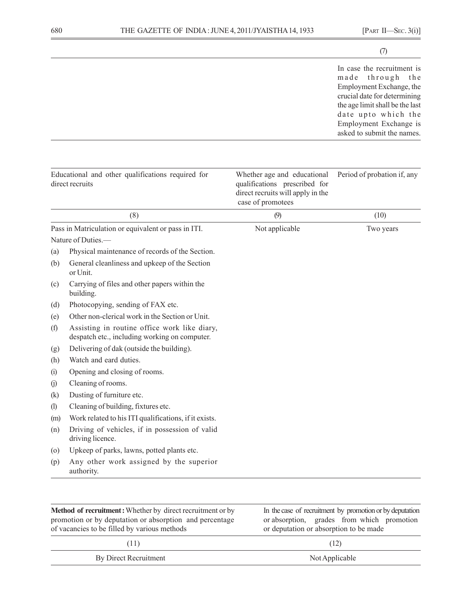|                            |                                                                                                                                                                               |                                                                                                                        | (7)                                                                                                                                                                                                                                 |
|----------------------------|-------------------------------------------------------------------------------------------------------------------------------------------------------------------------------|------------------------------------------------------------------------------------------------------------------------|-------------------------------------------------------------------------------------------------------------------------------------------------------------------------------------------------------------------------------------|
|                            |                                                                                                                                                                               |                                                                                                                        | In case the recruitment is<br>through<br>made<br>th e<br>Employment Exchange, the<br>crucial date for determining<br>the age limit shall be the last<br>date upto which the<br>Employment Exchange is<br>asked to submit the names. |
|                            | Educational and other qualifications required for<br>direct recruits                                                                                                          | Whether age and educational<br>qualifications prescribed for<br>direct recruits will apply in the<br>case of promotees | Period of probation if, any                                                                                                                                                                                                         |
|                            | (8)                                                                                                                                                                           | (9)                                                                                                                    | (10)                                                                                                                                                                                                                                |
| (a)<br>(b)                 | Pass in Matriculation or equivalent or pass in ITI.<br>Nature of Duties.-<br>Physical maintenance of records of the Section.<br>General cleanliness and upkeep of the Section | Not applicable                                                                                                         | Two years                                                                                                                                                                                                                           |
| (c)                        | or Unit.<br>Carrying of files and other papers within the<br>building.                                                                                                        |                                                                                                                        |                                                                                                                                                                                                                                     |
| (d)                        | Photocopying, sending of FAX etc.                                                                                                                                             |                                                                                                                        |                                                                                                                                                                                                                                     |
| (e)                        | Other non-clerical work in the Section or Unit.                                                                                                                               |                                                                                                                        |                                                                                                                                                                                                                                     |
| (f)                        | Assisting in routine office work like diary,<br>despatch etc., including working on computer.                                                                                 |                                                                                                                        |                                                                                                                                                                                                                                     |
| (g)                        | Delivering of dak (outside the building).                                                                                                                                     |                                                                                                                        |                                                                                                                                                                                                                                     |
| (h)                        | Watch and eard duties.                                                                                                                                                        |                                                                                                                        |                                                                                                                                                                                                                                     |
| (i)                        | Opening and closing of rooms.                                                                                                                                                 |                                                                                                                        |                                                                                                                                                                                                                                     |
| (i)                        | Cleaning of rooms.                                                                                                                                                            |                                                                                                                        |                                                                                                                                                                                                                                     |
| (k)                        | Dusting of furniture etc.                                                                                                                                                     |                                                                                                                        |                                                                                                                                                                                                                                     |
| $\left( \mathbf{I}\right)$ | Cleaning of building, fixtures etc.                                                                                                                                           |                                                                                                                        |                                                                                                                                                                                                                                     |
| (m)<br>(n)                 | Work related to his ITI qualifications, if it exists.<br>Driving of vehicles, if in possession of valid<br>driving licence.                                                   |                                                                                                                        |                                                                                                                                                                                                                                     |
| (0)                        | Upkeep of parks, lawns, potted plants etc.                                                                                                                                    |                                                                                                                        |                                                                                                                                                                                                                                     |
| (p)                        | Any other work assigned by the superior<br>authority.                                                                                                                         |                                                                                                                        |                                                                                                                                                                                                                                     |

| <b>Method of recruitment:</b> Whether by direct recruitment or by<br>promotion or by deputation or absorption and percentage<br>of vacancies to be filled by various methods | In the case of recruitment by promotion or by deputation<br>or absorption, grades from which promotion<br>or deputation or absorption to be made |
|------------------------------------------------------------------------------------------------------------------------------------------------------------------------------|--------------------------------------------------------------------------------------------------------------------------------------------------|
| (11)                                                                                                                                                                         | (12)                                                                                                                                             |
| By Direct Recruitment                                                                                                                                                        | Not Applicable                                                                                                                                   |
|                                                                                                                                                                              |                                                                                                                                                  |